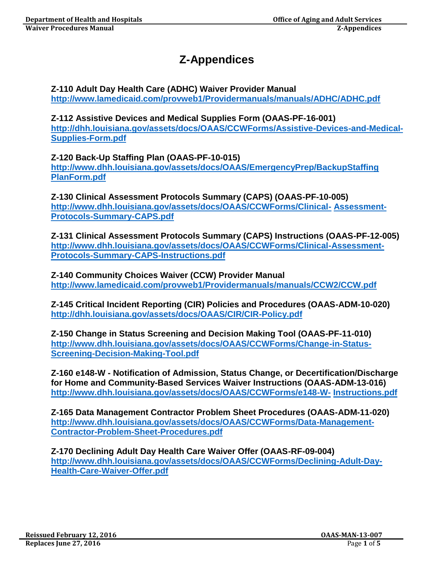# **Z-Appendices**

## **Z-110 Adult Day Health Care (ADHC) Waiver Provider Manual <http://www.lamedicaid.com/provweb1/Providermanuals/manuals/ADHC/ADHC.pdf>**

**Z-112 Assistive Devices and Medical Supplies Form (OAAS-PF-16-001) [http://dhh.louisiana.gov/assets/docs/OAAS/CCWForms/Assistive-Devices-and-Medical-](http://dhh.louisiana.gov/assets/docs/OAAS/CCWForms/Assistive-Devices-and-Medical-Supplies-Form.pdf)[Supplies-Form.pdf](http://dhh.louisiana.gov/assets/docs/OAAS/CCWForms/Assistive-Devices-and-Medical-Supplies-Form.pdf)**

**Z-120 Back-Up Staffing Plan (OAAS-PF-10-015) [http://www.dhh.louisiana.gov/assets/docs/OAAS/EmergencyPrep/BackupStaffing](http://www.dhh.louisiana.gov/assets/docs/OAAS/EmergencyPrep/BackupStaffingPlanForm.pdf) [PlanForm.pdf](http://www.dhh.louisiana.gov/assets/docs/OAAS/EmergencyPrep/BackupStaffingPlanForm.pdf)**

**Z-130 Clinical Assessment Protocols Summary (CAPS) (OAAS-PF-10-005) [http://www.dhh.louisiana.gov/assets/docs/OAAS/CCWForms/Clinical-](http://www.dhh.louisiana.gov/assets/docs/OAAS/CCWForms/Clinical-Assessment-Protocols-Summary-CAPS.pdf) [Assessment-](http://www.dhh.louisiana.gov/assets/docs/OAAS/CCWForms/Clinical-Assessment-Protocols-Summary-CAPS.pdf)[Protocols-Summary-CAPS.pdf](http://www.dhh.louisiana.gov/assets/docs/OAAS/CCWForms/Clinical-Assessment-Protocols-Summary-CAPS.pdf)**

**Z-131 Clinical Assessment Protocols Summary (CAPS) Instructions (OAAS-PF-12-005) [http://www.dhh.louisiana.gov/assets/docs/OAAS/CCWForms/Clinical-Assessment-](http://www.dhh.louisiana.gov/assets/docs/OAAS/CCWForms/Clinical-Assessment-Protocols-Summary-CAPS-Instructions.pdf)[Protocols-Summary-CAPS-Instructions.pdf](http://www.dhh.louisiana.gov/assets/docs/OAAS/CCWForms/Clinical-Assessment-Protocols-Summary-CAPS-Instructions.pdf)**

**Z-140 Community Choices Waiver (CCW) Provider Manual <http://www.lamedicaid.com/provweb1/Providermanuals/manuals/CCW2/CCW.pdf>**

**Z-145 Critical Incident Reporting (CIR) Policies and Procedures (OAAS-ADM-10-020) <http://dhh.louisiana.gov/assets/docs/OAAS/CIR/CIR-Policy.pdf>**

**Z-150 Change in Status Screening and Decision Making Tool (OAAS-PF-11-010) [http://www.dhh.louisiana.gov/assets/docs/OAAS/CCWForms/Change-in-Status-](http://www.dhh.louisiana.gov/assets/docs/OAAS/CCWForms/Change-in-Status-Screening-Decision-Making-Tool.pdf)[Screening-Decision-Making-Tool.pdf](http://www.dhh.louisiana.gov/assets/docs/OAAS/CCWForms/Change-in-Status-Screening-Decision-Making-Tool.pdf)**

**Z-160 e148-W - Notification of Admission, Status Change, or Decertification/Discharge for Home and Community-Based Services Waiver Instructions (OAAS-ADM-13-016) [http://www.dhh.louisiana.gov/assets/docs/OAAS/CCWForms/e148-W-](http://www.dhh.louisiana.gov/assets/docs/OAAS/CCWForms/e148-W-Instructions.pdf) [Instructions.pdf](http://www.dhh.louisiana.gov/assets/docs/OAAS/CCWForms/e148-W-Instructions.pdf)**

**Z-165 Data Management Contractor Problem Sheet Procedures (OAAS-ADM-11-020) [http://www.dhh.louisiana.gov/assets/docs/OAAS/CCWForms/Data-Management-](http://www.dhh.louisiana.gov/assets/docs/OAAS/CCWForms/Data-Management-Contractor-Problem-Sheet-Procedures.pdf)[Contractor-Problem-Sheet-Procedures.pdf](http://www.dhh.louisiana.gov/assets/docs/OAAS/CCWForms/Data-Management-Contractor-Problem-Sheet-Procedures.pdf)**

**Z-170 Declining Adult Day Health Care Waiver Offer (OAAS-RF-09-004) [http://www.dhh.louisiana.gov/assets/docs/OAAS/CCWForms/Declining-Adult-Day-](http://www.dhh.louisiana.gov/assets/docs/OAAS/CCWForms/Declining-Adult-Day-Health-Care-Waiver-Offer.pdf)[Health-Care-Waiver-Offer.pdf](http://www.dhh.louisiana.gov/assets/docs/OAAS/CCWForms/Declining-Adult-Day-Health-Care-Waiver-Offer.pdf)**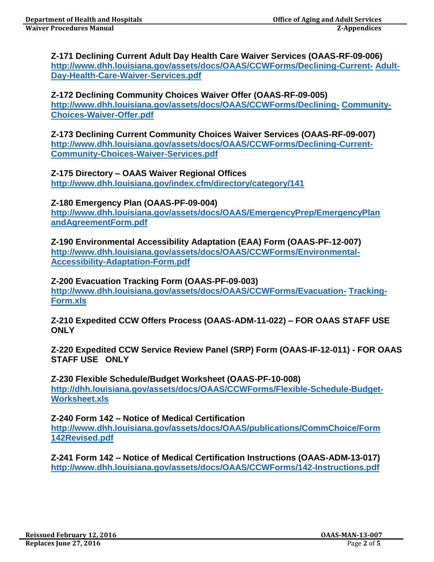#### **Z-171 Declining Current Adult Day Health Care Waiver Services (OAAS-RF-09-006) [http://www.dhh.louisiana.gov/assets/docs/OAAS/CCWForms/Declining-Current-](http://www.dhh.louisiana.gov/assets/docs/OAAS/CCWForms/Declining-Current-Adult-Day-Health-Care-Waiver-Services.pdf) [Adult-](http://www.dhh.louisiana.gov/assets/docs/OAAS/CCWForms/Declining-Current-Adult-Day-Health-Care-Waiver-Services.pdf)[Day-Health-Care-Waiver-Services.pdf](http://www.dhh.louisiana.gov/assets/docs/OAAS/CCWForms/Declining-Current-Adult-Day-Health-Care-Waiver-Services.pdf)**

#### **Z-172 Declining Community Choices Waiver Offer (OAAS-RF-09-005) [http://www.dhh.louisiana.gov/assets/docs/OAAS/CCWForms/Declining-](http://www.dhh.louisiana.gov/assets/docs/OAAS/CCWForms/Declining-Community-Choices-Waiver-Offer.pdf) [Community-](http://www.dhh.louisiana.gov/assets/docs/OAAS/CCWForms/Declining-Community-Choices-Waiver-Offer.pdf)[Choices-Waiver-Offer.pdf](http://www.dhh.louisiana.gov/assets/docs/OAAS/CCWForms/Declining-Community-Choices-Waiver-Offer.pdf)**

**Z-173 Declining Current Community Choices Waiver Services (OAAS-RF-09-007) [http://www.dhh.louisiana.gov/assets/docs/OAAS/CCWForms/Declining-Current-](http://www.dhh.louisiana.gov/assets/docs/OAAS/CCWForms/Declining-Current-Community-Choices-Waiver-Services.pdf)[Community-Choices-Waiver-Services.pdf](http://www.dhh.louisiana.gov/assets/docs/OAAS/CCWForms/Declining-Current-Community-Choices-Waiver-Services.pdf)**

**Z-175 Directory – OAAS Waiver Regional Offices <http://www.dhh.louisiana.gov/index.cfm/directory/category/141>**

**Z-180 Emergency Plan (OAAS-PF-09-004) [http://www.dhh.louisiana.gov/assets/docs/OAAS/EmergencyPrep/EmergencyPlan](http://www.dhh.louisiana.gov/assets/docs/OAAS/EmergencyPrep/EmergencyPlanandAgreementForm.pdf) [andAgreementForm.pdf](http://www.dhh.louisiana.gov/assets/docs/OAAS/EmergencyPrep/EmergencyPlanandAgreementForm.pdf)**

**Z-190 Environmental Accessibility Adaptation (EAA) Form (OAAS-PF-12-007) [http://www.dhh.louisiana.gov/assets/docs/OAAS/CCWForms/Environmental-](http://www.dhh.louisiana.gov/assets/docs/OAAS/CCWForms/Environmental-Accessibility-Adaptation-Form.pdf)[Accessibility-Adaptation-Form.pdf](http://www.dhh.louisiana.gov/assets/docs/OAAS/CCWForms/Environmental-Accessibility-Adaptation-Form.pdf)**

## **Z-200 Evacuation Tracking Form (OAAS-PF-09-003)**

**[http://www.dhh.louisiana.gov/assets/docs/OAAS/CCWForms/Evacuation-](http://www.dhh.louisiana.gov/assets/docs/OAAS/CCWForms/Evacuation-Tracking-Form.xls) [Tracking-](http://www.dhh.louisiana.gov/assets/docs/OAAS/CCWForms/Evacuation-Tracking-Form.xls)[Form.xls](http://www.dhh.louisiana.gov/assets/docs/OAAS/CCWForms/Evacuation-Tracking-Form.xls)**

**Z-210 Expedited CCW Offers Process (OAAS-ADM-11-022) – FOR OAAS STAFF USE ONLY**

**Z-220 Expedited CCW Service Review Panel (SRP) Form (OAAS-IF-12-011) - FOR OAAS STAFF USE ONLY**

**Z-230 Flexible Schedule/Budget Worksheet (OAAS-PF-10-008) [http://dhh.louisiana.gov/assets/docs/OAAS/CCWForms/Flexible-Schedule-Budget-](http://dhh.louisiana.gov/assets/docs/OAAS/CCWForms/Flexible-Schedule-Budget-Worksheet.xls)[Worksheet.xls](http://dhh.louisiana.gov/assets/docs/OAAS/CCWForms/Flexible-Schedule-Budget-Worksheet.xls)**

**Z-240 Form 142 – Notice of Medical Certification [http://www.dhh.louisiana.gov/assets/docs/OAAS/publications/CommChoice/Form](http://www.dhh.louisiana.gov/assets/docs/OAAS/publications/CommChoice/Form142Revised.pdf) [142Revised.pdf](http://www.dhh.louisiana.gov/assets/docs/OAAS/publications/CommChoice/Form142Revised.pdf)**

**Z-241 Form 142 – Notice of Medical Certification Instructions (OAAS-ADM-13-017) <http://www.dhh.louisiana.gov/assets/docs/OAAS/CCWForms/142-Instructions.pdf>**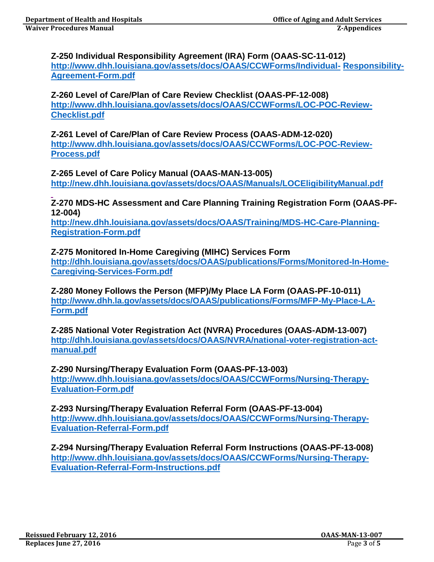#### **Z-250 Individual Responsibility Agreement (IRA) Form (OAAS-SC-11-012) [http://www.dhh.louisiana.gov/assets/docs/OAAS/CCWForms/Individual-](http://www.dhh.louisiana.gov/assets/docs/OAAS/CCWForms/Individual-Responsibility-Agreement-Form.pdf) [Responsibility-](http://www.dhh.louisiana.gov/assets/docs/OAAS/CCWForms/Individual-Responsibility-Agreement-Form.pdf)[Agreement-Form.pdf](http://www.dhh.louisiana.gov/assets/docs/OAAS/CCWForms/Individual-Responsibility-Agreement-Form.pdf)**

### **Z-260 Level of Care/Plan of Care Review Checklist (OAAS-PF-12-008) [http://www.dhh.louisiana.gov/assets/docs/OAAS/CCWForms/LOC-POC-Review-](http://www.dhh.louisiana.gov/assets/docs/OAAS/CCWForms/LOC-POC-Review-Checklist.pdf)[Checklist.pdf](http://www.dhh.louisiana.gov/assets/docs/OAAS/CCWForms/LOC-POC-Review-Checklist.pdf)**

**Z-261 Level of Care/Plan of Care Review Process (OAAS-ADM-12-020) [http://www.dhh.louisiana.gov/assets/docs/OAAS/CCWForms/LOC-POC-Review-](http://www.dhh.louisiana.gov/assets/docs/OAAS/CCWForms/LOC-POC-Review-Process.pdf)[Process.pdf](http://www.dhh.louisiana.gov/assets/docs/OAAS/CCWForms/LOC-POC-Review-Process.pdf)**

**Z-265 Level of Care Policy Manual (OAAS-MAN-13-005) <http://new.dhh.louisiana.gov/assets/docs/OAAS/Manuals/LOCEligibilityManual.pdf>**

**Z-270 MDS-HC Assessment and Care Planning Training Registration Form (OAAS-PF-12-004)**

**[http://new.dhh.louisiana.gov/assets/docs/OAAS/Training/MDS-HC-Care-Planning-](http://new.dhh.louisiana.gov/assets/docs/OAAS/Training/MDS-HC-Care-Planning-Registration-Form.pdf)[Registration-Form.pdf](http://new.dhh.louisiana.gov/assets/docs/OAAS/Training/MDS-HC-Care-Planning-Registration-Form.pdf)**

**Z-275 Monitored In-Home Caregiving (MIHC) Services Form [http://dhh.louisiana.gov/assets/docs/OAAS/publications/Forms/Monitored-In-Home-](http://dhh.louisiana.gov/assets/docs/OAAS/publications/Forms/Monitored-In-Home-Caregiving-Services-Form.pdf)[Caregiving-Services-Form.pdf](http://dhh.louisiana.gov/assets/docs/OAAS/publications/Forms/Monitored-In-Home-Caregiving-Services-Form.pdf)**

**Z-280 Money Follows the Person (MFP)/My Place LA Form (OAAS-PF-10-011) [http://www.dhh.la.gov/assets/docs/OAAS/publications/Forms/MFP-My-Place-LA-](http://www.dhh.la.gov/assets/docs/OAAS/publications/Forms/MFP-My-Place-LA-Form.pdf)[Form.pdf](http://www.dhh.la.gov/assets/docs/OAAS/publications/Forms/MFP-My-Place-LA-Form.pdf)**

**Z-285 National Voter Registration Act (NVRA) Procedures (OAAS-ADM-13-007) [http://dhh.louisiana.gov/assets/docs/OAAS/NVRA/national-voter-registration-act](http://dhh.louisiana.gov/assets/docs/OAAS/NVRA/national-voter-registration-act-manual.pdf)[manual.pdf](http://dhh.louisiana.gov/assets/docs/OAAS/NVRA/national-voter-registration-act-manual.pdf)**

**Z-290 Nursing/Therapy Evaluation Form (OAAS-PF-13-003) [http://www.dhh.louisiana.gov/assets/docs/OAAS/CCWForms/Nursing-Therapy-](http://www.dhh.louisiana.gov/assets/docs/OAAS/CCWForms/Nursing-Therapy-Evaluation-Form.pdf)[Evaluation-Form.pdf](http://www.dhh.louisiana.gov/assets/docs/OAAS/CCWForms/Nursing-Therapy-Evaluation-Form.pdf)**

**Z-293 Nursing/Therapy Evaluation Referral Form (OAAS-PF-13-004) [http://www.dhh.louisiana.gov/assets/docs/OAAS/CCWForms/Nursing-Therapy-](http://www.dhh.louisiana.gov/assets/docs/OAAS/CCWForms/Nursing-Therapy-Evaluation-Referral-Form.pdf)[Evaluation-Referral-Form.pdf](http://www.dhh.louisiana.gov/assets/docs/OAAS/CCWForms/Nursing-Therapy-Evaluation-Referral-Form.pdf)**

**Z-294 Nursing/Therapy Evaluation Referral Form Instructions (OAAS-PF-13-008) [http://www.dhh.louisiana.gov/assets/docs/OAAS/CCWForms/Nursing-Therapy-](http://www.dhh.louisiana.gov/assets/docs/OAAS/CCWForms/Nursing-Therapy-Evaluation-Referral-Form-Instructions.pdf)[Evaluation-Referral-Form-Instructions.pdf](http://www.dhh.louisiana.gov/assets/docs/OAAS/CCWForms/Nursing-Therapy-Evaluation-Referral-Form-Instructions.pdf)**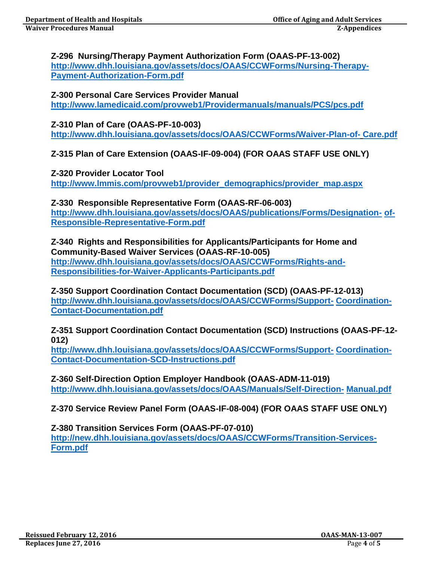#### **Z-296 Nursing/Therapy Payment Authorization Form (OAAS-PF-13-002) [http://www.dhh.louisiana.gov/assets/docs/OAAS/CCWForms/Nursing-Therapy-](http://www.dhh.louisiana.gov/assets/docs/OAAS/CCWForms/Nursing-Therapy-Payment-Authorization-Form.pdf)[Payment-Authorization-Form.pdf](http://www.dhh.louisiana.gov/assets/docs/OAAS/CCWForms/Nursing-Therapy-Payment-Authorization-Form.pdf)**

### **Z-300 Personal Care Services Provider Manual <http://www.lamedicaid.com/provweb1/Providermanuals/manuals/PCS/pcs.pdf>**

# **Z-310 Plan of Care (OAAS-PF-10-003)**

**[http://www.dhh.louisiana.gov/assets/docs/OAAS/CCWForms/Waiver-Plan-of-](http://www.dhh.louisiana.gov/assets/docs/OAAS/CCWForms/Waiver-Plan-of-Care.pdf) [Care.pdf](http://www.dhh.louisiana.gov/assets/docs/OAAS/CCWForms/Waiver-Plan-of-Care.pdf)**

**Z-315 Plan of Care Extension (OAAS-IF-09-004) (FOR OAAS STAFF USE ONLY)**

**Z-320 Provider Locator Tool [http://www.lmmis.com/provweb1/provider\\_demographics/provider\\_map.aspx](http://www.lmmis.com/provweb1/provider_demographics/provider_map.aspx)**

**Z-330 Responsible Representative Form (OAAS-RF-06-003) [http://www.dhh.louisiana.gov/assets/docs/OAAS/publications/Forms/Designation-](http://www.dhh.louisiana.gov/assets/docs/OAAS/publications/Forms/Designation-of-Responsible-Representative-Form.pdf) [of-](http://www.dhh.louisiana.gov/assets/docs/OAAS/publications/Forms/Designation-of-Responsible-Representative-Form.pdf)[Responsible-Representative-Form.pdf](http://www.dhh.louisiana.gov/assets/docs/OAAS/publications/Forms/Designation-of-Responsible-Representative-Form.pdf)**

**Z-340 Rights and Responsibilities for Applicants/Participants for Home and Community-Based Waiver Services (OAAS-RF-10-005) [http://www.dhh.louisiana.gov/assets/docs/OAAS/CCWForms/Rights-and-](http://www.dhh.louisiana.gov/assets/docs/OAAS/CCWForms/Rights-and-Responsibilities-for-Waiver-Applicants-Participants.pdf)[Responsibilities-for-Waiver-Applicants-Participants.pdf](http://www.dhh.louisiana.gov/assets/docs/OAAS/CCWForms/Rights-and-Responsibilities-for-Waiver-Applicants-Participants.pdf)**

**Z-350 Support Coordination Contact Documentation (SCD) (OAAS-PF-12-013) [http://www.dhh.louisiana.gov/assets/docs/OAAS/CCWForms/Support-](http://www.dhh.louisiana.gov/assets/docs/OAAS/CCWForms/Support-Coordination-Contact-Documentation.pdf) [Coordination-](http://www.dhh.louisiana.gov/assets/docs/OAAS/CCWForms/Support-Coordination-Contact-Documentation.pdf)[Contact-Documentation.pdf](http://www.dhh.louisiana.gov/assets/docs/OAAS/CCWForms/Support-Coordination-Contact-Documentation.pdf)**

**Z-351 Support Coordination Contact Documentation (SCD) Instructions (OAAS-PF-12- 012)**

**[http://www.dhh.louisiana.gov/assets/docs/OAAS/CCWForms/Support-](http://www.dhh.louisiana.gov/assets/docs/OAAS/CCWForms/Support-Coordination-Contact-Documentation-SCD-Instructions.pdf) [Coordination-](http://www.dhh.louisiana.gov/assets/docs/OAAS/CCWForms/Support-Coordination-Contact-Documentation-SCD-Instructions.pdf)[Contact-Documentation-SCD-Instructions.pdf](http://www.dhh.louisiana.gov/assets/docs/OAAS/CCWForms/Support-Coordination-Contact-Documentation-SCD-Instructions.pdf)**

**Z-360 Self-Direction Option Employer Handbook (OAAS-ADM-11-019) [http://www.dhh.louisiana.gov/assets/docs/OAAS/Manuals/Self-Direction-](http://www.dhh.louisiana.gov/assets/docs/OAAS/Manuals/Self-Direction-Manual.pdf) [Manual.pdf](http://www.dhh.louisiana.gov/assets/docs/OAAS/Manuals/Self-Direction-Manual.pdf)**

**Z-370 Service Review Panel Form (OAAS-IF-08-004) (FOR OAAS STAFF USE ONLY)**

#### **Z-380 Transition Services Form (OAAS-PF-07-010)**

**[http://new.dhh.louisiana.gov/assets/docs/OAAS/CCWForms/Transition-Services-](http://new.dhh.louisiana.gov/assets/docs/OAAS/CCWForms/Transition-Services-Form.pdf)[Form.pdf](http://new.dhh.louisiana.gov/assets/docs/OAAS/CCWForms/Transition-Services-Form.pdf)**